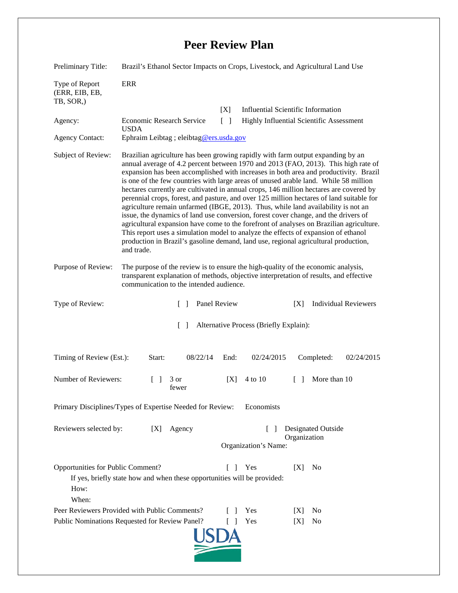## **Peer Review Plan**

| Preliminary Title:                                                                                                                                           | Brazil's Ethanol Sector Impacts on Crops, Livestock, and Agricultural Land Use                                                                                                                                                                                                                                                                                                                                                                                                                                                                                                                                                                                                                                                                                                                                                                                                                                                                                                                                |      |                                                            |        |                             |  |
|--------------------------------------------------------------------------------------------------------------------------------------------------------------|---------------------------------------------------------------------------------------------------------------------------------------------------------------------------------------------------------------------------------------------------------------------------------------------------------------------------------------------------------------------------------------------------------------------------------------------------------------------------------------------------------------------------------------------------------------------------------------------------------------------------------------------------------------------------------------------------------------------------------------------------------------------------------------------------------------------------------------------------------------------------------------------------------------------------------------------------------------------------------------------------------------|------|------------------------------------------------------------|--------|-----------------------------|--|
| Type of Report<br>(ERR, EIB, EB,<br>TB, SOR,)                                                                                                                | <b>ERR</b>                                                                                                                                                                                                                                                                                                                                                                                                                                                                                                                                                                                                                                                                                                                                                                                                                                                                                                                                                                                                    |      |                                                            |        |                             |  |
|                                                                                                                                                              |                                                                                                                                                                                                                                                                                                                                                                                                                                                                                                                                                                                                                                                                                                                                                                                                                                                                                                                                                                                                               | [X]  | <b>Influential Scientific Information</b>                  |        |                             |  |
| Agency:                                                                                                                                                      | $\lceil \rceil$<br><b>Highly Influential Scientific Assessment</b><br><b>Economic Research Service</b><br><b>USDA</b><br>Ephraim Leibtag ; eleibtag@ers.usda.gov                                                                                                                                                                                                                                                                                                                                                                                                                                                                                                                                                                                                                                                                                                                                                                                                                                              |      |                                                            |        |                             |  |
| <b>Agency Contact:</b>                                                                                                                                       |                                                                                                                                                                                                                                                                                                                                                                                                                                                                                                                                                                                                                                                                                                                                                                                                                                                                                                                                                                                                               |      |                                                            |        |                             |  |
| Subject of Review:                                                                                                                                           | Brazilian agriculture has been growing rapidly with farm output expanding by an<br>annual average of 4.2 percent between 1970 and 2013 (FAO, 2013). This high rate of<br>expansion has been accomplished with increases in both area and productivity. Brazil<br>is one of the few countries with large areas of unused arable land. While 58 million<br>hectares currently are cultivated in annual crops, 146 million hectares are covered by<br>perennial crops, forest, and pasture, and over 125 million hectares of land suitable for<br>agriculture remain unfarmed (IBGE, 2013). Thus, while land availability is not an<br>issue, the dynamics of land use conversion, forest cover change, and the drivers of<br>agricultural expansion have come to the forefront of analyses on Brazilian agriculture.<br>This report uses a simulation model to analyze the effects of expansion of ethanol<br>production in Brazil's gasoline demand, land use, regional agricultural production,<br>and trade. |      |                                                            |        |                             |  |
| Purpose of Review:                                                                                                                                           | The purpose of the review is to ensure the high-quality of the economic analysis,<br>transparent explanation of methods, objective interpretation of results, and effective<br>communication to the intended audience.                                                                                                                                                                                                                                                                                                                                                                                                                                                                                                                                                                                                                                                                                                                                                                                        |      |                                                            |        |                             |  |
| Type of Review:                                                                                                                                              | Panel Review<br>$\mathcal{L}$                                                                                                                                                                                                                                                                                                                                                                                                                                                                                                                                                                                                                                                                                                                                                                                                                                                                                                                                                                                 |      |                                                            | [X]    | <b>Individual Reviewers</b> |  |
| Alternative Process (Briefly Explain):<br>$\Box$                                                                                                             |                                                                                                                                                                                                                                                                                                                                                                                                                                                                                                                                                                                                                                                                                                                                                                                                                                                                                                                                                                                                               |      |                                                            |        |                             |  |
| Timing of Review (Est.):                                                                                                                                     | Start:<br>08/22/14                                                                                                                                                                                                                                                                                                                                                                                                                                                                                                                                                                                                                                                                                                                                                                                                                                                                                                                                                                                            | End: | 02/24/2015                                                 |        | Completed:<br>02/24/2015    |  |
| Number of Reviewers:                                                                                                                                         | 3 or<br>fewer                                                                                                                                                                                                                                                                                                                                                                                                                                                                                                                                                                                                                                                                                                                                                                                                                                                                                                                                                                                                 | [X]  | 4 to 10                                                    | $\Box$ | More than 10                |  |
| Primary Disciplines/Types of Expertise Needed for Review:<br>Economists                                                                                      |                                                                                                                                                                                                                                                                                                                                                                                                                                                                                                                                                                                                                                                                                                                                                                                                                                                                                                                                                                                                               |      |                                                            |        |                             |  |
| Reviewers selected by:<br>Agency<br>[X]                                                                                                                      |                                                                                                                                                                                                                                                                                                                                                                                                                                                                                                                                                                                                                                                                                                                                                                                                                                                                                                                                                                                                               |      | Designated Outside<br>Organization<br>Organization's Name: |        |                             |  |
| Opportunities for Public Comment?<br>Yes<br>No<br>[X]<br>$\Box$<br>If yes, briefly state how and when these opportunities will be provided:<br>How:<br>When: |                                                                                                                                                                                                                                                                                                                                                                                                                                                                                                                                                                                                                                                                                                                                                                                                                                                                                                                                                                                                               |      |                                                            |        |                             |  |
| Peer Reviewers Provided with Public Comments?                                                                                                                |                                                                                                                                                                                                                                                                                                                                                                                                                                                                                                                                                                                                                                                                                                                                                                                                                                                                                                                                                                                                               |      | Yes                                                        | [X]    | N <sub>0</sub>              |  |
| Public Nominations Requested for Review Panel?<br>Yes<br>No<br>[X]                                                                                           |                                                                                                                                                                                                                                                                                                                                                                                                                                                                                                                                                                                                                                                                                                                                                                                                                                                                                                                                                                                                               |      |                                                            |        |                             |  |